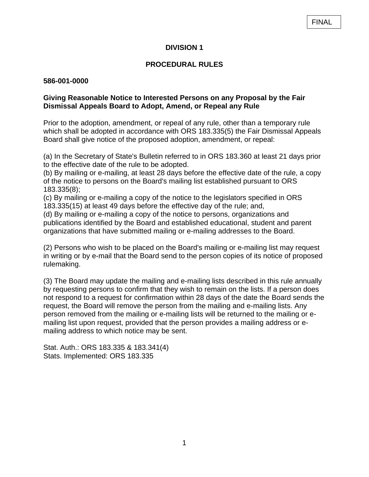## **DIVISION 1**

# **PROCEDURAL RULES**

#### **586-001-0000**

### **Giving Reasonable Notice to Interested Persons on any Proposal by the Fair Dismissal Appeals Board to Adopt, Amend, or Repeal any Rule**

Prior to the adoption, amendment, or repeal of any rule, other than a temporary rule which shall be adopted in accordance with [ORS 183.](http://landru.leg.state.or.us/ors/183.html)335(5) the Fair Dismissal Appeals Board shall give notice of the proposed adoption, amendment, or repeal:

(a) In the Secretary of State's Bulletin referred to in [ORS 183.](http://landru.leg.state.or.us/ors/183.html)360 at least 21 days prior to the effective date of the rule to be adopted.

(b) By mailing or e-mailing, at least 28 days before the effective date of the rule, a copy of the notice to persons on the Board's mailing list established pursuant to ORS 183.335(8);

(c) By mailing or e-mailing a copy of the notice to the legislators specified in ORS 183.335(15) at least 49 days before the effective day of the rule; and,

(d) By mailing or e-mailing a copy of the notice to persons, organizations and publications identified by the Board and established educational, student and parent organizations that have submitted mailing or e-mailing addresses to the Board.

(2) Persons who wish to be placed on the Board's mailing or e-mailing list may request in writing or by e-mail that the Board send to the person copies of its notice of proposed rulemaking.

(3) The Board may update the mailing and e-mailing lists described in this rule annually by requesting persons to confirm that they wish to remain on the lists. If a person does not respond to a request for confirmation within 28 days of the date the Board sends the request, the Board will remove the person from the mailing and e-mailing lists. Any person removed from the mailing or e-mailing lists will be returned to the mailing or emailing list upon request, provided that the person provides a mailing address or emailing address to which notice may be sent.

Stat. Auth.: ORS 183.335 & 183.341(4) Stats. Implemented: ORS 183.335